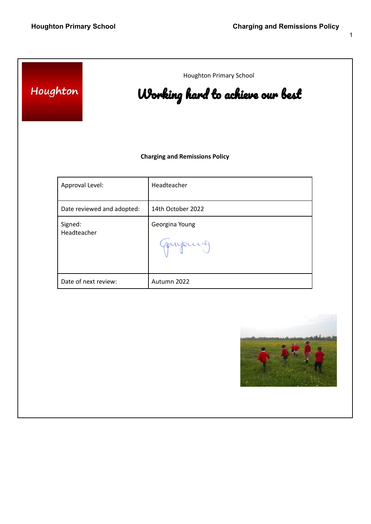| Houghton                              | Houghton Primary School<br>Working hard to achieve our best |
|---------------------------------------|-------------------------------------------------------------|
| <b>Charging and Remissions Policy</b> |                                                             |
| Approval Level:                       | Headteacher                                                 |
| Date reviewed and adopted:            | 14th October 2022                                           |
| Signed:<br>Headteacher                | Georgina Young<br>quijourg                                  |
| Date of next review:                  | Autumn 2022                                                 |
|                                       |                                                             |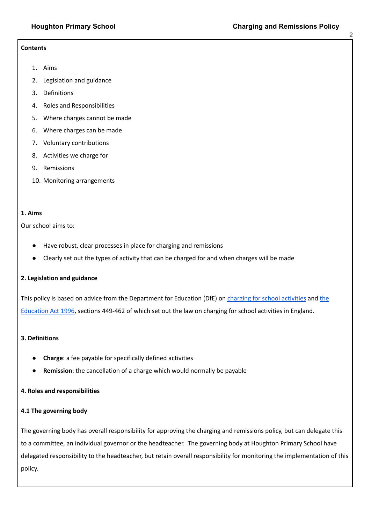2

#### **Contents**

- 1. Aims
- 2. Legislation and guidance
- 3. Definitions
- 4. Roles and Responsibilities
- 5. Where charges cannot be made
- 6. Where charges can be made
- 7. Voluntary contributions
- 8. Activities we charge for
- 9. Remissions
- 10. Monitoring arrangements

#### **1. Aims**

Our school aims to:

- Have robust, clear processes in place for charging and remissions
- Clearly set out the types of activity that can be charged for and when charges will be made

## **2. Legislation and guidance**

This policy is based on advice from the Department for Education (DfE) on charging for school [activities](https://www.gov.uk/government/publications/charging-for-school-activities) and [the](http://www.legislation.gov.uk/ukpga/1996/56/part/VI/chapter/III) [Education](http://www.legislation.gov.uk/ukpga/1996/56/part/VI/chapter/III) Act 1996, sections 449-462 of which set out the law on charging for school activities in England.

# **3. Definitions**

- **Charge**: a fee payable for specifically defined activities
- **Remission**: the cancellation of a charge which would normally be payable

## **4. Roles and responsibilities**

## **4.1 The governing body**

The governing body has overall responsibility for approving the charging and remissions policy, but can delegate this to a committee, an individual governor or the headteacher. The governing body at Houghton Primary School have delegated responsibility to the headteacher, but retain overall responsibility for monitoring the implementation of this policy.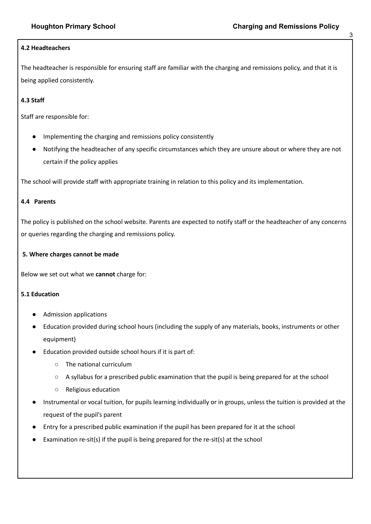#### **4.2 Headteachers**

The headteacher is responsible for ensuring staff are familiar with the charging and remissions policy, and that it is being applied consistently.

## **4.3 Staff**

Staff are responsible for:

- Implementing the charging and remissions policy consistently
- Notifying the headteacher of any specific circumstances which they are unsure about or where they are not certain if the policy applies

The school will provide staff with appropriate training in relation to this policy and its implementation.

#### **4.4 Parents**

The policy is published on the school website. Parents are expected to notify staff or the headteacher of any concerns or queries regarding the charging and remissions policy.

#### **5. Where charges cannot be made**

Below we set out what we **cannot** charge for:

#### **5.1 Education**

- Admission applications
- Education provided during school hours (including the supply of any materials, books, instruments or other equipment)
- Education provided outside school hours if it is part of:
	- The national curriculum
	- A syllabus for a prescribed public examination that the pupil is being prepared for at the school
	- Religious education
- Instrumental or vocal tuition, for pupils learning individually or in groups, unless the tuition is provided at the request of the pupil's parent
- Entry for a prescribed public examination if the pupil has been prepared for it at the school
- Examination re-sit(s) if the pupil is being prepared for the re-sit(s) at the school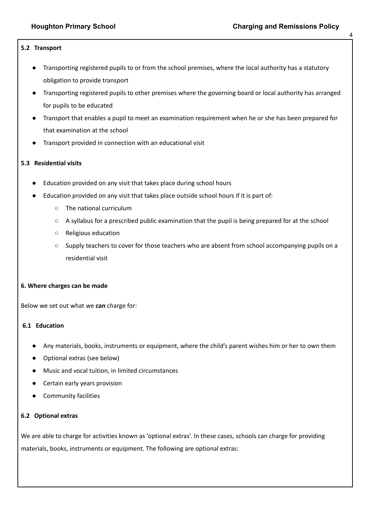#### **5.2 Transport**

- Transporting registered pupils to or from the school premises, where the local authority has a statutory obligation to provide transport
- Transporting registered pupils to other premises where the governing board or local authority has arranged for pupils to be educated
- Transport that enables a pupil to meet an examination requirement when he or she has been prepared for that examination at the school
- Transport provided in connection with an educational visit

## **5.3 Residential visits**

- Education provided on any visit that takes place during school hours
- Education provided on any visit that takes place outside school hours if it is part of:
	- The national curriculum
	- A syllabus for a prescribed public examination that the pupil is being prepared for at the school
	- Religious education
	- Supply teachers to cover for those teachers who are absent from school accompanying pupils on a residential visit

#### **6. Where charges can be made**

Below we set out what we **can** charge for:

## **6.1 Education**

- Any materials, books, instruments or equipment, where the child's parent wishes him or her to own them
- Optional extras (see below)
- Music and vocal tuition, in limited circumstances
- Certain early years provision
- **Community facilities**

#### **6.2 Optional extras**

We are able to charge for activities known as 'optional extras'. In these cases, schools can charge for providing materials, books, instruments or equipment. The following are optional extras: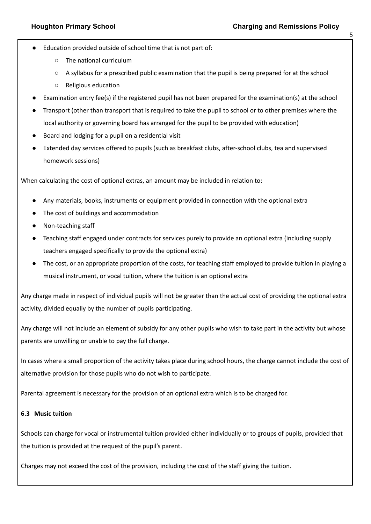- Education provided outside of school time that is not part of:
	- The national curriculum
	- A syllabus for a prescribed public examination that the pupil is being prepared for at the school
	- Religious education
- Examination entry fee(s) if the registered pupil has not been prepared for the examination(s) at the school
- Transport (other than transport that is required to take the pupil to school or to other premises where the local authority or governing board has arranged for the pupil to be provided with education)
- Board and lodging for a pupil on a residential visit
- Extended day services offered to pupils (such as breakfast clubs, after-school clubs, tea and supervised homework sessions)

When calculating the cost of optional extras, an amount may be included in relation to:

- Any materials, books, instruments or equipment provided in connection with the optional extra
- The cost of buildings and accommodation
- Non-teaching staff
- Teaching staff engaged under contracts for services purely to provide an optional extra (including supply teachers engaged specifically to provide the optional extra)
- The cost, or an appropriate proportion of the costs, for teaching staff employed to provide tuition in playing a musical instrument, or vocal tuition, where the tuition is an optional extra

Any charge made in respect of individual pupils will not be greater than the actual cost of providing the optional extra activity, divided equally by the number of pupils participating.

Any charge will not include an element of subsidy for any other pupils who wish to take part in the activity but whose parents are unwilling or unable to pay the full charge.

In cases where a small proportion of the activity takes place during school hours, the charge cannot include the cost of alternative provision for those pupils who do not wish to participate.

Parental agreement is necessary for the provision of an optional extra which is to be charged for.

## **6.3 Music tuition**

Schools can charge for vocal or instrumental tuition provided either individually or to groups of pupils, provided that the tuition is provided at the request of the pupil's parent.

Charges may not exceed the cost of the provision, including the cost of the staff giving the tuition.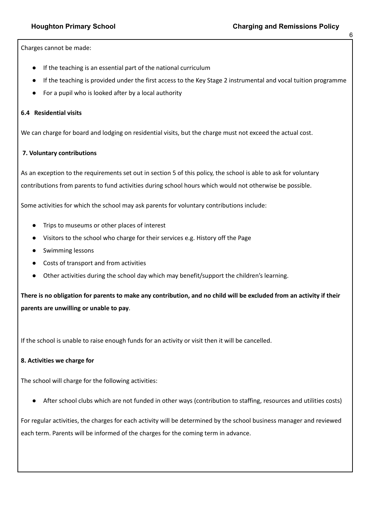Charges cannot be made:

- If the teaching is an essential part of the national curriculum
- If the teaching is provided under the first access to the Key Stage 2 instrumental and vocal tuition programme
- For a pupil who is looked after by a local authority

#### **6.4 Residential visits**

We can charge for board and lodging on residential visits, but the charge must not exceed the actual cost.

# **7. Voluntary contributions**

As an exception to the requirements set out in section 5 of this policy, the school is able to ask for voluntary contributions from parents to fund activities during school hours which would not otherwise be possible.

Some activities for which the school may ask parents for voluntary contributions include:

- Trips to museums or other places of interest
- Visitors to the school who charge for their services e.g. History off the Page
- Swimming lessons
- Costs of transport and from activities
- Other activities during the school day which may benefit/support the children's learning.

There is no obligation for parents to make any contribution, and no child will be excluded from an activity if their **parents are unwilling or unable to pay**.

If the school is unable to raise enough funds for an activity or visit then it will be cancelled.

## **8. Activities we charge for**

The school will charge for the following activities:

● After school clubs which are not funded in other ways (contribution to staffing, resources and utilities costs)

For regular activities, the charges for each activity will be determined by the school business manager and reviewed each term. Parents will be informed of the charges for the coming term in advance.